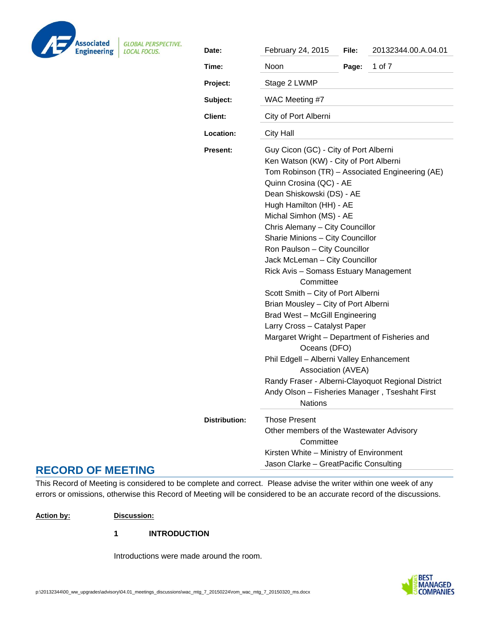

**GLOBAL PERSPECTIVE.** 

| Date:           | February 24, 2015                                                                                                                                                                                                                                                                                                                                                                                                                                                                                                                                                                                                                                                                                                                                                                                                                                             | File: | 20132344.00.A.04.01 |
|-----------------|---------------------------------------------------------------------------------------------------------------------------------------------------------------------------------------------------------------------------------------------------------------------------------------------------------------------------------------------------------------------------------------------------------------------------------------------------------------------------------------------------------------------------------------------------------------------------------------------------------------------------------------------------------------------------------------------------------------------------------------------------------------------------------------------------------------------------------------------------------------|-------|---------------------|
| Time:           | Noon                                                                                                                                                                                                                                                                                                                                                                                                                                                                                                                                                                                                                                                                                                                                                                                                                                                          | Page: | 1 of 7              |
| Project:        | Stage 2 LWMP                                                                                                                                                                                                                                                                                                                                                                                                                                                                                                                                                                                                                                                                                                                                                                                                                                                  |       |                     |
| Subject:        | WAC Meeting #7                                                                                                                                                                                                                                                                                                                                                                                                                                                                                                                                                                                                                                                                                                                                                                                                                                                |       |                     |
| <b>Client:</b>  | City of Port Alberni                                                                                                                                                                                                                                                                                                                                                                                                                                                                                                                                                                                                                                                                                                                                                                                                                                          |       |                     |
| Location:       | <b>City Hall</b>                                                                                                                                                                                                                                                                                                                                                                                                                                                                                                                                                                                                                                                                                                                                                                                                                                              |       |                     |
| <b>Present:</b> | Guy Cicon (GC) - City of Port Alberni<br>Ken Watson (KW) - City of Port Alberni<br>Tom Robinson (TR) - Associated Engineering (AE)<br>Quinn Crosina (QC) - AE<br>Dean Shiskowski (DS) - AE<br>Hugh Hamilton (HH) - AE<br>Michal Simhon (MS) - AE<br>Chris Alemany - City Councillor<br>Sharie Minions - City Councillor<br>Ron Paulson - City Councillor<br>Jack McLeman - City Councillor<br>Rick Avis - Somass Estuary Management<br>Committee<br>Scott Smith - City of Port Alberni<br>Brian Mousley - City of Port Alberni<br>Brad West - McGill Engineering<br>Larry Cross - Catalyst Paper<br>Margaret Wright - Department of Fisheries and<br>Oceans (DFO)<br>Phil Edgell - Alberni Valley Enhancement<br>Association (AVEA)<br>Randy Fraser - Alberni-Clayoquot Regional District<br>Andy Olson - Fisheries Manager, Tseshaht First<br><b>Nations</b> |       |                     |
| Distribution:   | Those Present                                                                                                                                                                                                                                                                                                                                                                                                                                                                                                                                                                                                                                                                                                                                                                                                                                                 |       |                     |
|                 | Other members of the Wastewater Advisory<br>Committee                                                                                                                                                                                                                                                                                                                                                                                                                                                                                                                                                                                                                                                                                                                                                                                                         |       |                     |
|                 | Kirsten White - Ministry of Environment                                                                                                                                                                                                                                                                                                                                                                                                                                                                                                                                                                                                                                                                                                                                                                                                                       |       |                     |
|                 | Jason Clarke - GreatPacific Consulting                                                                                                                                                                                                                                                                                                                                                                                                                                                                                                                                                                                                                                                                                                                                                                                                                        |       |                     |

# **RECORD OF MEETING**

This Record of Meeting is considered to be complete and correct. Please advise the writer within one week of any errors or omissions, otherwise this Record of Meeting will be considered to be an accurate record of the discussions.

# **Action by: Discussion:**

**1 INTRODUCTION** 

Introductions were made around the room.

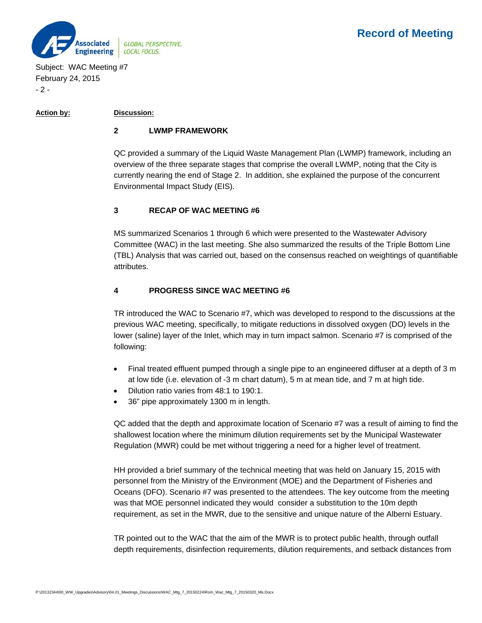



Subject: WAC Meeting #7 February 24, 2015 - 2 -

### **Action by: Discussion:**

### **2 LWMP FRAMEWORK**

QC provided a summary of the Liquid Waste Management Plan (LWMP) framework, including an overview of the three separate stages that comprise the overall LWMP, noting that the City is currently nearing the end of Stage 2. In addition, she explained the purpose of the concurrent Environmental Impact Study (EIS).

## **3 RECAP OF WAC MEETING #6**

MS summarized Scenarios 1 through 6 which were presented to the Wastewater Advisory Committee (WAC) in the last meeting. She also summarized the results of the Triple Bottom Line (TBL) Analysis that was carried out, based on the consensus reached on weightings of quantifiable attributes.

## **4 PROGRESS SINCE WAC MEETING #6**

TR introduced the WAC to Scenario #7, which was developed to respond to the discussions at the previous WAC meeting, specifically, to mitigate reductions in dissolved oxygen (DO) levels in the lower (saline) layer of the Inlet, which may in turn impact salmon. Scenario #7 is comprised of the following:

- Final treated effluent pumped through a single pipe to an engineered diffuser at a depth of 3 m at low tide (i.e. elevation of -3 m chart datum), 5 m at mean tide, and 7 m at high tide.
- Dilution ratio varies from 48:1 to 190:1.
- 36" pipe approximately 1300 m in length.

QC added that the depth and approximate location of Scenario #7 was a result of aiming to find the shallowest location where the minimum dilution requirements set by the Municipal Wastewater Regulation (MWR) could be met without triggering a need for a higher level of treatment.

HH provided a brief summary of the technical meeting that was held on January 15, 2015 with personnel from the Ministry of the Environment (MOE) and the Department of Fisheries and Oceans (DFO). Scenario #7 was presented to the attendees. The key outcome from the meeting was that MOE personnel indicated they would consider a substitution to the 10m depth requirement, as set in the MWR, due to the sensitive and unique nature of the Alberni Estuary.

TR pointed out to the WAC that the aim of the MWR is to protect public health, through outfall depth requirements, disinfection requirements, dilution requirements, and setback distances from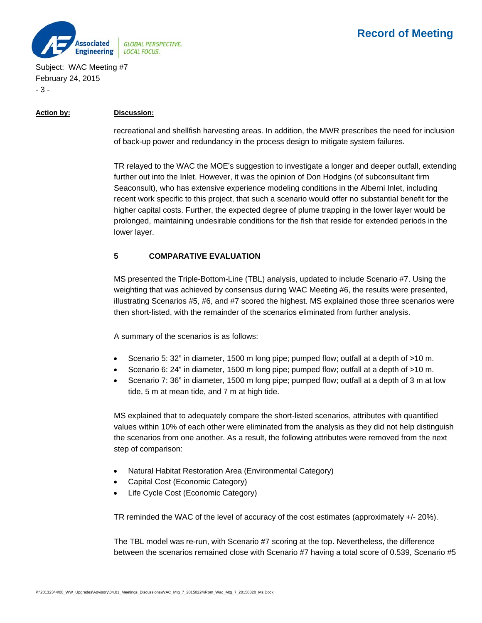

Subject: WAC Meeting #7 February 24, 2015 - 3 -

### **Action by: Discussion:**

recreational and shellfish harvesting areas. In addition, the MWR prescribes the need for inclusion of back-up power and redundancy in the process design to mitigate system failures.

TR relayed to the WAC the MOE's suggestion to investigate a longer and deeper outfall, extending further out into the Inlet. However, it was the opinion of Don Hodgins (of subconsultant firm Seaconsult), who has extensive experience modeling conditions in the Alberni Inlet, including recent work specific to this project, that such a scenario would offer no substantial benefit for the higher capital costs. Further, the expected degree of plume trapping in the lower layer would be prolonged, maintaining undesirable conditions for the fish that reside for extended periods in the lower layer.

# **5 COMPARATIVE EVALUATION**

MS presented the Triple-Bottom-Line (TBL) analysis, updated to include Scenario #7. Using the weighting that was achieved by consensus during WAC Meeting #6, the results were presented, illustrating Scenarios #5, #6, and #7 scored the highest. MS explained those three scenarios were then short-listed, with the remainder of the scenarios eliminated from further analysis.

A summary of the scenarios is as follows:

- Scenario 5: 32" in diameter, 1500 m long pipe; pumped flow; outfall at a depth of >10 m.
- Scenario 6: 24" in diameter, 1500 m long pipe; pumped flow; outfall at a depth of >10 m.
- Scenario 7: 36" in diameter, 1500 m long pipe; pumped flow; outfall at a depth of 3 m at low tide, 5 m at mean tide, and 7 m at high tide.

MS explained that to adequately compare the short-listed scenarios, attributes with quantified values within 10% of each other were eliminated from the analysis as they did not help distinguish the scenarios from one another. As a result, the following attributes were removed from the next step of comparison:

- Natural Habitat Restoration Area (Environmental Category)
- Capital Cost (Economic Category)
- Life Cycle Cost (Economic Category)

TR reminded the WAC of the level of accuracy of the cost estimates (approximately +/- 20%).

The TBL model was re-run, with Scenario #7 scoring at the top. Nevertheless, the difference between the scenarios remained close with Scenario #7 having a total score of 0.539, Scenario #5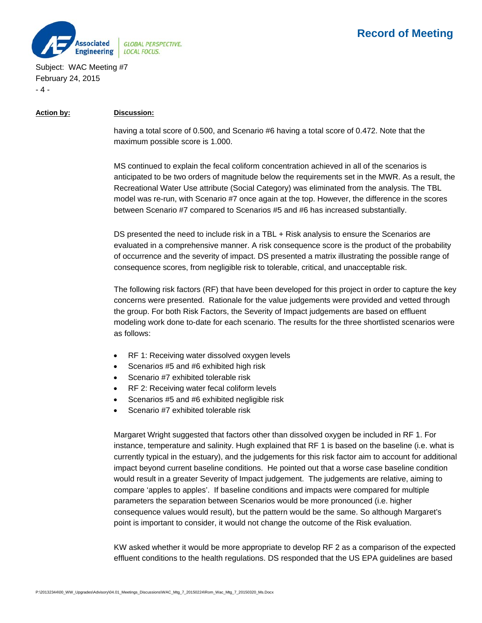

# **Record of Meeting**

Subject: WAC Meeting #7 February 24, 2015 - 4 -

#### **Action by: Discussion:**

having a total score of 0.500, and Scenario #6 having a total score of 0.472. Note that the maximum possible score is 1.000.

MS continued to explain the fecal coliform concentration achieved in all of the scenarios is anticipated to be two orders of magnitude below the requirements set in the MWR. As a result, the Recreational Water Use attribute (Social Category) was eliminated from the analysis. The TBL model was re-run, with Scenario #7 once again at the top. However, the difference in the scores between Scenario #7 compared to Scenarios #5 and #6 has increased substantially.

DS presented the need to include risk in a TBL + Risk analysis to ensure the Scenarios are evaluated in a comprehensive manner. A risk consequence score is the product of the probability of occurrence and the severity of impact. DS presented a matrix illustrating the possible range of consequence scores, from negligible risk to tolerable, critical, and unacceptable risk.

The following risk factors (RF) that have been developed for this project in order to capture the key concerns were presented. Rationale for the value judgements were provided and vetted through the group. For both Risk Factors, the Severity of Impact judgements are based on effluent modeling work done to-date for each scenario. The results for the three shortlisted scenarios were as follows:

- RF 1: Receiving water dissolved oxygen levels
- Scenarios #5 and #6 exhibited high risk
- Scenario #7 exhibited tolerable risk
- RF 2: Receiving water fecal coliform levels
- Scenarios #5 and #6 exhibited negligible risk
- Scenario #7 exhibited tolerable risk

Margaret Wright suggested that factors other than dissolved oxygen be included in RF 1. For instance, temperature and salinity. Hugh explained that RF 1 is based on the baseline (i.e. what is currently typical in the estuary), and the judgements for this risk factor aim to account for additional impact beyond current baseline conditions. He pointed out that a worse case baseline condition would result in a greater Severity of Impact judgement. The judgements are relative, aiming to compare 'apples to apples'. If baseline conditions and impacts were compared for multiple parameters the separation between Scenarios would be more pronounced (i.e. higher consequence values would result), but the pattern would be the same. So although Margaret's point is important to consider, it would not change the outcome of the Risk evaluation.

KW asked whether it would be more appropriate to develop RF 2 as a comparison of the expected effluent conditions to the health regulations. DS responded that the US EPA guidelines are based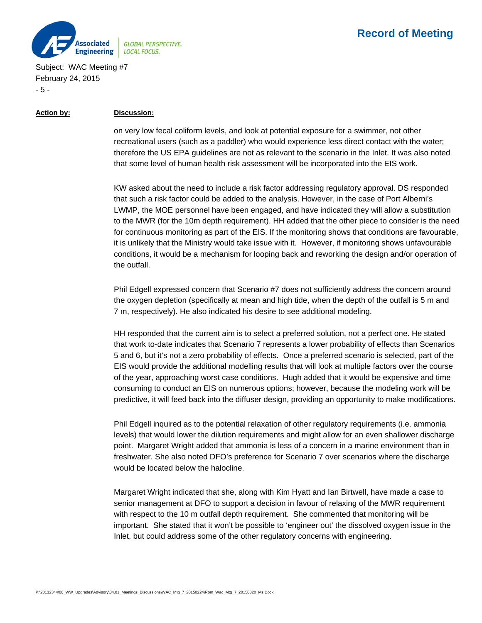

# **Record of Meeting**

Subject: WAC Meeting #7 February 24, 2015 - 5 -

#### **Action by: Discussion:**

on very low fecal coliform levels, and look at potential exposure for a swimmer, not other recreational users (such as a paddler) who would experience less direct contact with the water; therefore the US EPA guidelines are not as relevant to the scenario in the Inlet. It was also noted that some level of human health risk assessment will be incorporated into the EIS work.

KW asked about the need to include a risk factor addressing regulatory approval. DS responded that such a risk factor could be added to the analysis. However, in the case of Port Alberni's LWMP, the MOE personnel have been engaged, and have indicated they will allow a substitution to the MWR (for the 10m depth requirement). HH added that the other piece to consider is the need for continuous monitoring as part of the EIS. If the monitoring shows that conditions are favourable, it is unlikely that the Ministry would take issue with it. However, if monitoring shows unfavourable conditions, it would be a mechanism for looping back and reworking the design and/or operation of the outfall.

Phil Edgell expressed concern that Scenario #7 does not sufficiently address the concern around the oxygen depletion (specifically at mean and high tide, when the depth of the outfall is 5 m and 7 m, respectively). He also indicated his desire to see additional modeling.

HH responded that the current aim is to select a preferred solution, not a perfect one. He stated that work to-date indicates that Scenario 7 represents a lower probability of effects than Scenarios 5 and 6, but it's not a zero probability of effects. Once a preferred scenario is selected, part of the EIS would provide the additional modelling results that will look at multiple factors over the course of the year, approaching worst case conditions. Hugh added that it would be expensive and time consuming to conduct an EIS on numerous options; however, because the modeling work will be predictive, it will feed back into the diffuser design, providing an opportunity to make modifications.

Phil Edgell inquired as to the potential relaxation of other regulatory requirements (i.e. ammonia levels) that would lower the dilution requirements and might allow for an even shallower discharge point. Margaret Wright added that ammonia is less of a concern in a marine environment than in freshwater. She also noted DFO's preference for Scenario 7 over scenarios where the discharge would be located below the halocline.

Margaret Wright indicated that she, along with Kim Hyatt and Ian Birtwell, have made a case to senior management at DFO to support a decision in favour of relaxing of the MWR requirement with respect to the 10 m outfall depth requirement. She commented that monitoring will be important. She stated that it won't be possible to 'engineer out' the dissolved oxygen issue in the Inlet, but could address some of the other regulatory concerns with engineering.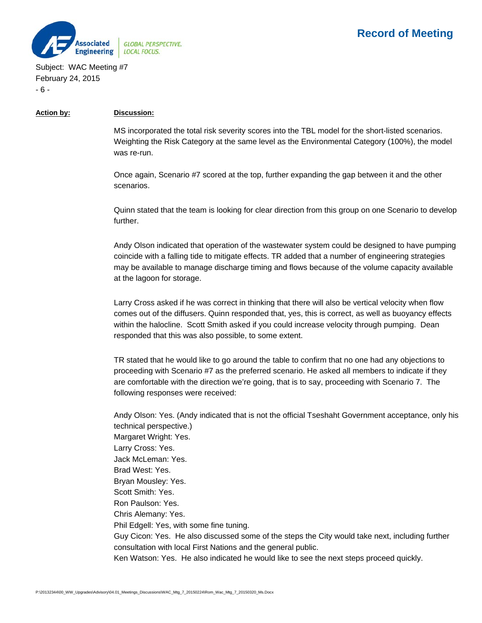

Subject: WAC Meeting #7 February 24, 2015 - 6 -

#### **Action by: Discussion:**

MS incorporated the total risk severity scores into the TBL model for the short-listed scenarios. Weighting the Risk Category at the same level as the Environmental Category (100%), the model was re-run.

Once again, Scenario #7 scored at the top, further expanding the gap between it and the other scenarios.

Quinn stated that the team is looking for clear direction from this group on one Scenario to develop further.

Andy Olson indicated that operation of the wastewater system could be designed to have pumping coincide with a falling tide to mitigate effects. TR added that a number of engineering strategies may be available to manage discharge timing and flows because of the volume capacity available at the lagoon for storage.

Larry Cross asked if he was correct in thinking that there will also be vertical velocity when flow comes out of the diffusers. Quinn responded that, yes, this is correct, as well as buoyancy effects within the halocline. Scott Smith asked if you could increase velocity through pumping. Dean responded that this was also possible, to some extent.

TR stated that he would like to go around the table to confirm that no one had any objections to proceeding with Scenario #7 as the preferred scenario. He asked all members to indicate if they are comfortable with the direction we're going, that is to say, proceeding with Scenario 7. The following responses were received:

Andy Olson: Yes. (Andy indicated that is not the official Tseshaht Government acceptance, only his technical perspective.) Margaret Wright: Yes. Larry Cross: Yes. Jack McLeman: Yes. Brad West: Yes. Bryan Mousley: Yes. Scott Smith: Yes. Ron Paulson: Yes. Chris Alemany: Yes. Phil Edgell: Yes, with some fine tuning. Guy Cicon: Yes. He also discussed some of the steps the City would take next, including further consultation with local First Nations and the general public.

Ken Watson: Yes. He also indicated he would like to see the next steps proceed quickly.